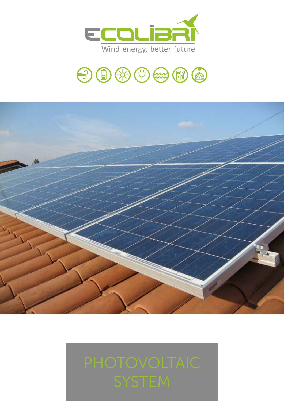